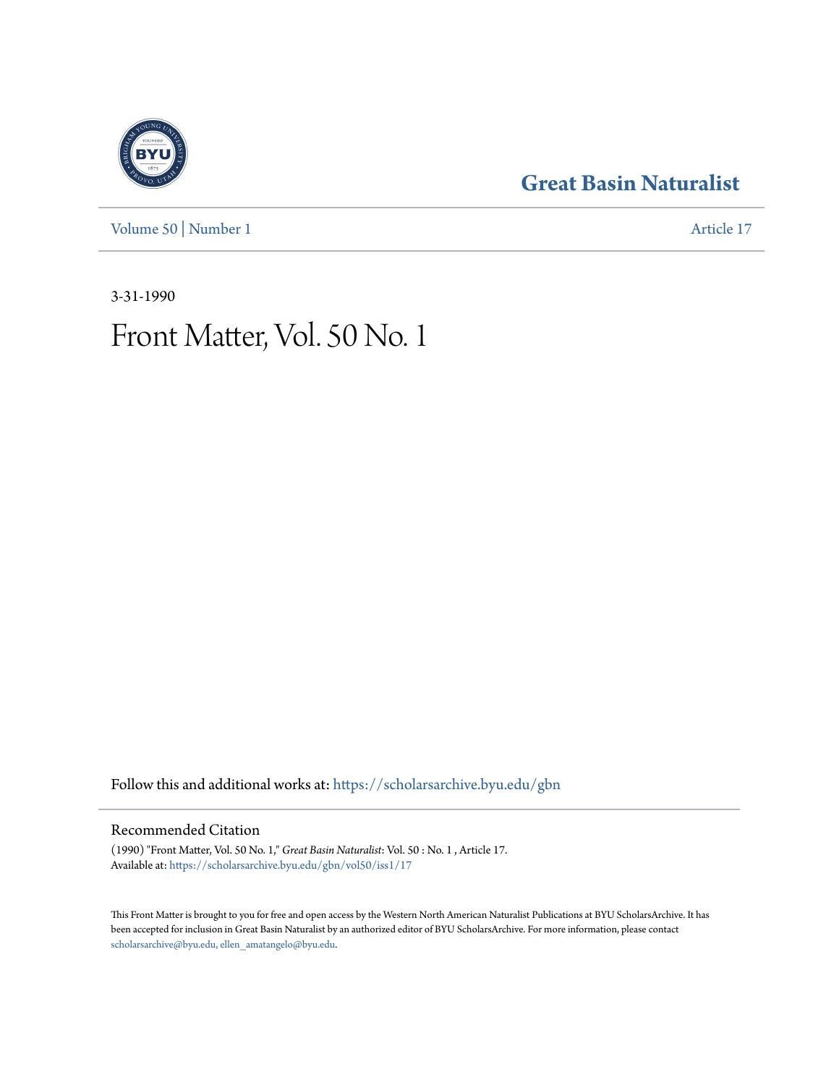[Volume 50](https://scholarsarchive.byu.edu/gbn/vol50?utm_source=scholarsarchive.byu.edu%2Fgbn%2Fvol50%2Fiss1%2F17&utm_medium=PDF&utm_campaign=PDFCoverPages) | [Number 1](https://scholarsarchive.byu.edu/gbn/vol50/iss1?utm_source=scholarsarchive.byu.edu%2Fgbn%2Fvol50%2Fiss1%2F17&utm_medium=PDF&utm_campaign=PDFCoverPages) [Article 17](https://scholarsarchive.byu.edu/gbn/vol50/iss1/17?utm_source=scholarsarchive.byu.edu%2Fgbn%2Fvol50%2Fiss1%2F17&utm_medium=PDF&utm_campaign=PDFCoverPages)

# **[Great Basin Naturalist](https://scholarsarchive.byu.edu/gbn?utm_source=scholarsarchive.byu.edu%2Fgbn%2Fvol50%2Fiss1%2F17&utm_medium=PDF&utm_campaign=PDFCoverPages)**

3-31-1990

# Front Matter, Vol. 50 No. 1

Follow this and additional works at: [https://scholarsarchive.byu.edu/gbn](https://scholarsarchive.byu.edu/gbn?utm_source=scholarsarchive.byu.edu%2Fgbn%2Fvol50%2Fiss1%2F17&utm_medium=PDF&utm_campaign=PDFCoverPages)

## Recommended Citation

(1990) "Front Matter, Vol. 50 No. 1," *Great Basin Naturalist*: Vol. 50 : No. 1 , Article 17. Available at: [https://scholarsarchive.byu.edu/gbn/vol50/iss1/17](https://scholarsarchive.byu.edu/gbn/vol50/iss1/17?utm_source=scholarsarchive.byu.edu%2Fgbn%2Fvol50%2Fiss1%2F17&utm_medium=PDF&utm_campaign=PDFCoverPages)

This Front Matter is brought to you for free and open access by the Western North American Naturalist Publications at BYU ScholarsArchive. It has been accepted for inclusion in Great Basin Naturalist by an authorized editor of BYU ScholarsArchive. For more information, please contact [scholarsarchive@byu.edu, ellen\\_amatangelo@byu.edu.](mailto:scholarsarchive@byu.edu,%20ellen_amatangelo@byu.edu)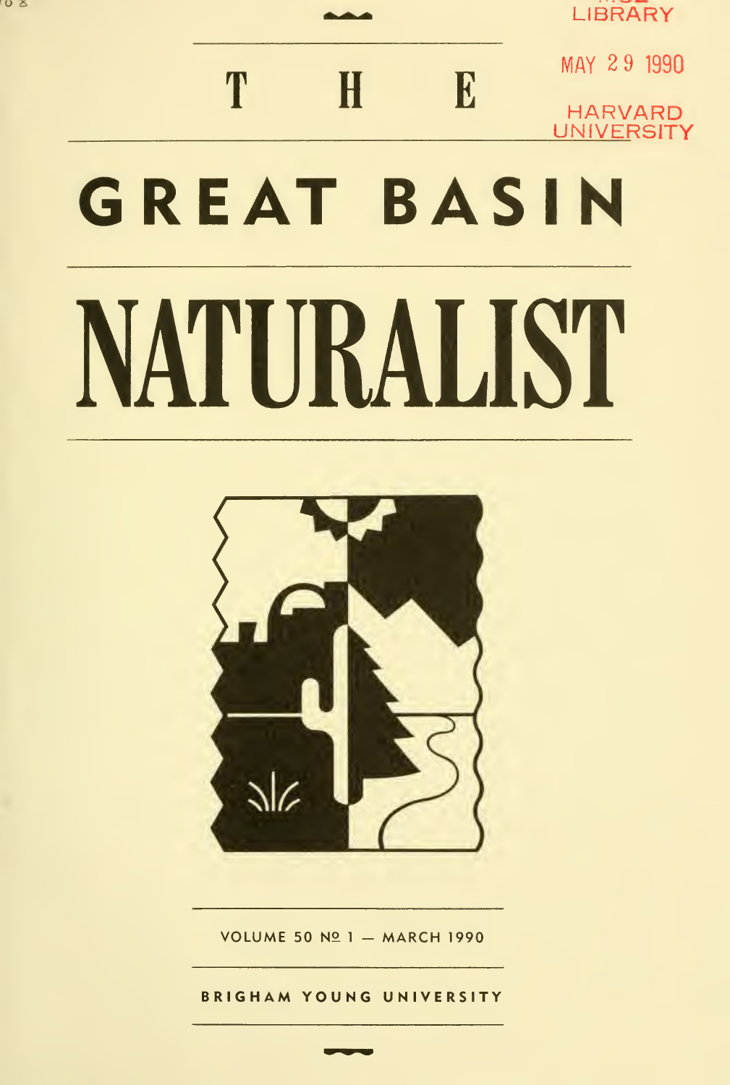**LIBRARY** 

 $H$  MAY 2 9 1990 T E HARVARD UNIVERSITY GREAT BASIN NATURAUST



VOLUME 50  $N2$  1 - MARCH 1990

BRIGHAM YOUNG UNIVERSITY